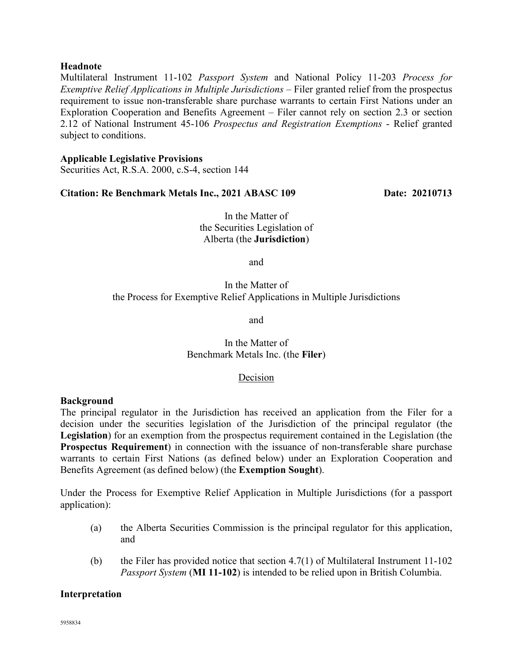## **Headnote**

Multilateral Instrument 11-102 *Passport System* and National Policy 11-203 *Process for Exemptive Relief Applications in Multiple Jurisdictions* – Filer granted relief from the prospectus requirement to issue non-transferable share purchase warrants to certain First Nations under an Exploration Cooperation and Benefits Agreement – Filer cannot rely on section 2.3 or section 2.12 of National Instrument 45-106 *Prospectus and Registration Exemptions* - Relief granted subject to conditions.

### **Applicable Legislative Provisions**

Securities Act, R.S.A. 2000, c.S-4, section 144

# **Citation: Re Benchmark Metals Inc., 2021 ABASC 109 Date: 20210713**

In the Matter of the Securities Legislation of Alberta (the **Jurisdiction**)

and

In the Matter of the Process for Exemptive Relief Applications in Multiple Jurisdictions

and

## In the Matter of Benchmark Metals Inc. (the **Filer**)

#### Decision

#### **Background**

The principal regulator in the Jurisdiction has received an application from the Filer for a decision under the securities legislation of the Jurisdiction of the principal regulator (the **Legislation**) for an exemption from the prospectus requirement contained in the Legislation (the **Prospectus Requirement**) in connection with the issuance of non-transferable share purchase warrants to certain First Nations (as defined below) under an Exploration Cooperation and Benefits Agreement (as defined below) (the **Exemption Sought**).

Under the Process for Exemptive Relief Application in Multiple Jurisdictions (for a passport application):

- (a) the Alberta Securities Commission is the principal regulator for this application, and
- (b) the Filer has provided notice that section 4.7(1) of Multilateral Instrument 11-102 *Passport System* (**MI 11-102**) is intended to be relied upon in British Columbia.

### **Interpretation**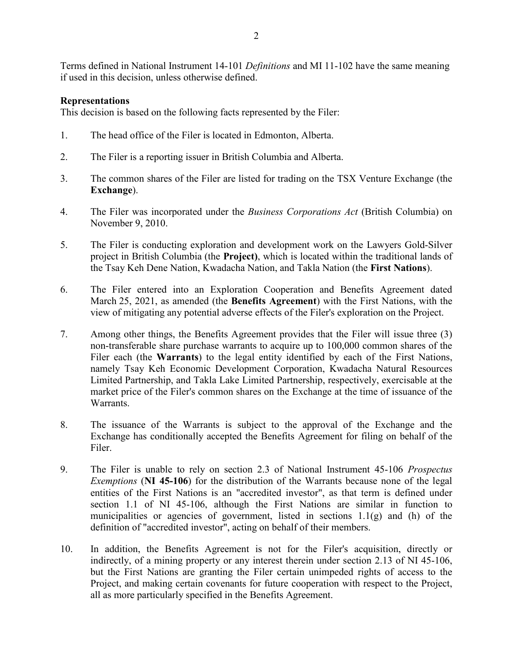Terms defined in National Instrument 14-101 *Definitions* and MI 11-102 have the same meaning if used in this decision, unless otherwise defined.

## **Representations**

This decision is based on the following facts represented by the Filer:

- 1. The head office of the Filer is located in Edmonton, Alberta.
- 2. The Filer is a reporting issuer in British Columbia and Alberta.
- 3. The common shares of the Filer are listed for trading on the TSX Venture Exchange (the **Exchange**).
- 4. The Filer was incorporated under the *Business Corporations Act* (British Columbia) on November 9, 2010.
- 5. The Filer is conducting exploration and development work on the Lawyers Gold-Silver project in British Columbia (the **Project)**, which is located within the traditional lands of the Tsay Keh Dene Nation, Kwadacha Nation, and Takla Nation (the **First Nations**).
- 6. The Filer entered into an Exploration Cooperation and Benefits Agreement dated March 25, 2021, as amended (the **Benefits Agreement**) with the First Nations, with the view of mitigating any potential adverse effects of the Filer's exploration on the Project.
- 7. Among other things, the Benefits Agreement provides that the Filer will issue three (3) non-transferable share purchase warrants to acquire up to 100,000 common shares of the Filer each (the **Warrants**) to the legal entity identified by each of the First Nations, namely Tsay Keh Economic Development Corporation, Kwadacha Natural Resources Limited Partnership, and Takla Lake Limited Partnership, respectively, exercisable at the market price of the Filer's common shares on the Exchange at the time of issuance of the Warrants.
- 8. The issuance of the Warrants is subject to the approval of the Exchange and the Exchange has conditionally accepted the Benefits Agreement for filing on behalf of the Filer.
- 9. The Filer is unable to rely on section 2.3 of National Instrument 45-106 *Prospectus Exemptions* (**NI 45-106**) for the distribution of the Warrants because none of the legal entities of the First Nations is an "accredited investor", as that term is defined under section 1.1 of NI 45-106, although the First Nations are similar in function to municipalities or agencies of government, listed in sections 1.1(g) and (h) of the definition of "accredited investor", acting on behalf of their members.
- 10. In addition, the Benefits Agreement is not for the Filer's acquisition, directly or indirectly, of a mining property or any interest therein under section 2.13 of NI 45-106, but the First Nations are granting the Filer certain unimpeded rights of access to the Project, and making certain covenants for future cooperation with respect to the Project, all as more particularly specified in the Benefits Agreement.